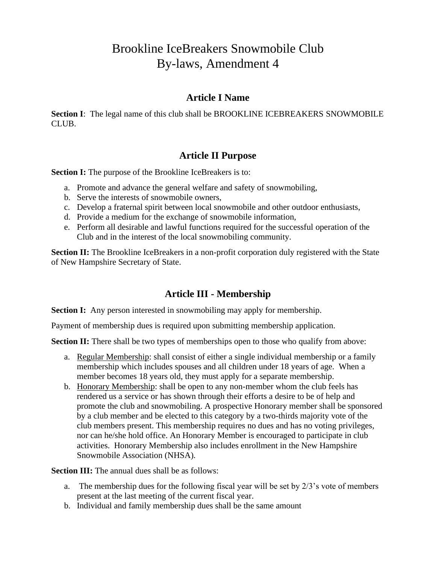# Brookline IceBreakers Snowmobile Club By-laws, Amendment 4

### **Article I Name**

**Section I**: The legal name of this club shall be BROOKLINE ICEBREAKERS SNOWMOBILE CLUB.

# **Article II Purpose**

**Section I:** The purpose of the Brookline IceBreakers is to:

- a. Promote and advance the general welfare and safety of snowmobiling,
- b. Serve the interests of snowmobile owners,
- c. Develop a fraternal spirit between local snowmobile and other outdoor enthusiasts,
- d. Provide a medium for the exchange of snowmobile information,
- e. Perform all desirable and lawful functions required for the successful operation of the Club and in the interest of the local snowmobiling community.

**Section II:** The Brookline IceBreakers in a non-profit corporation duly registered with the State of New Hampshire Secretary of State.

# **Article III - Membership**

**Section I:** Any person interested in snowmobiling may apply for membership.

Payment of membership dues is required upon submitting membership application.

**Section II:** There shall be two types of memberships open to those who qualify from above:

- a. Regular Membership: shall consist of either a single individual membership or a family membership which includes spouses and all children under 18 years of age. When a member becomes 18 years old, they must apply for a separate membership.
- b. Honorary Membership: shall be open to any non-member whom the club feels has rendered us a service or has shown through their efforts a desire to be of help and promote the club and snowmobiling. A prospective Honorary member shall be sponsored by a club member and be elected to this category by a two-thirds majority vote of the club members present. This membership requires no dues and has no voting privileges, nor can he/she hold office. An Honorary Member is encouraged to participate in club activities. Honorary Membership also includes enrollment in the New Hampshire Snowmobile Association (NHSA).

**Section III:** The annual dues shall be as follows:

- a. The membership dues for the following fiscal year will be set by  $2/3$ 's vote of members present at the last meeting of the current fiscal year.
- b. Individual and family membership dues shall be the same amount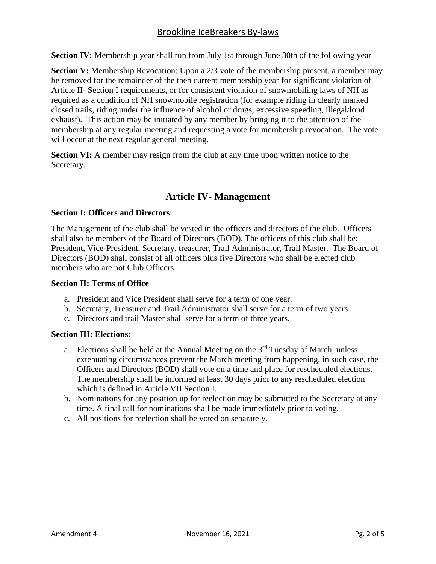### Brookline IceBreakers By-laws

**Section IV:** Membership year shall run from July 1st through June 30th of the following year

**Section V:** Membership Revocation: Upon a 2/3 vote of the membership present, a member may be removed for the remainder of the then current membership year for significant violation of Article II- Section I requirements, or for consistent violation of snowmobiling laws of NH as required as a condition of NH snowmobile registration (for example riding in clearly marked closed trails, riding under the influence of alcohol or drugs, excessive speeding, illegal/loud exhaust). This action may be initiated by any member by bringing it to the attention of the membership at any regular meeting and requesting a vote for membership revocation. The vote will occur at the next regular general meeting.

**Section VI:** A member may resign from the club at any time upon written notice to the Secretary.

### **Article IV- Management**

#### **Section I: Officers and Directors**

The Management of the club shall be vested in the officers and directors of the club. Officers shall also be members of the Board of Directors (BOD). The officers of this club shall be: President, Vice-President, Secretary, treasurer, Trail Administrator, Trail Master. The Board of Directors (BOD) shall consist of all officers plus five Directors who shall be elected club members who are not Club Officers.

#### **Section II: Terms of Office**

- a. President and Vice President shall serve for a term of one year.
- b. Secretary, Treasurer and Trail Administrator shall serve for a term of two years.
- c. Directors and trail Master shall serve for a term of three years.

#### **Section III: Elections:**

- a. Elections shall be held at the Annual Meeting on the  $3<sup>rd</sup>$  Tuesday of March, unless extenuating circumstances prevent the March meeting from happening, in such case, the Officers and Directors (BOD) shall vote on a time and place for rescheduled elections. The membership shall be informed at least 30 days prior to any rescheduled election which is defined in Article VII Section I.
- b. Nominations for any position up for reelection may be submitted to the Secretary at any time. A final call for nominations shall be made immediately prior to voting.
- c. All positions for reelection shall be voted on separately.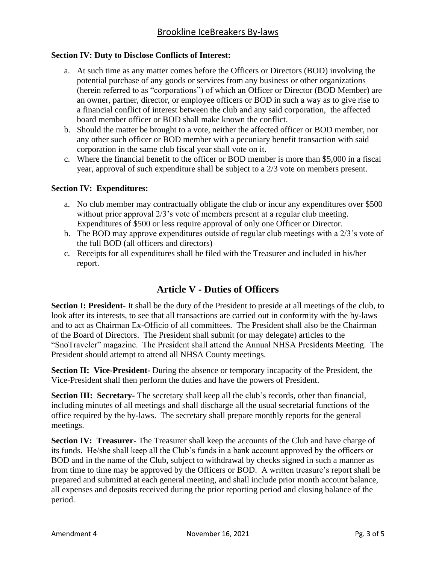#### **Section IV: Duty to Disclose Conflicts of Interest:**

- a. At such time as any matter comes before the Officers or Directors (BOD) involving the potential purchase of any goods or services from any business or other organizations (herein referred to as "corporations") of which an Officer or Director (BOD Member) are an owner, partner, director, or employee officers or BOD in such a way as to give rise to a financial conflict of interest between the club and any said corporation, the affected board member officer or BOD shall make known the conflict.
- b. Should the matter be brought to a vote, neither the affected officer or BOD member, nor any other such officer or BOD member with a pecuniary benefit transaction with said corporation in the same club fiscal year shall vote on it.
- c. Where the financial benefit to the officer or BOD member is more than \$5,000 in a fiscal year, approval of such expenditure shall be subject to a 2/3 vote on members present.

#### **Section IV: Expenditures:**

- a. No club member may contractually obligate the club or incur any expenditures over \$500 without prior approval  $2/3$ 's vote of members present at a regular club meeting. Expenditures of \$500 or less require approval of only one Officer or Director.
- b. The BOD may approve expenditures outside of regular club meetings with a 2/3's vote of the full BOD (all officers and directors)
- c. Receipts for all expenditures shall be filed with the Treasurer and included in his/her report.

# **Article V - Duties of Officers**

**Section I: President-** It shall be the duty of the President to preside at all meetings of the club, to look after its interests, to see that all transactions are carried out in conformity with the by-laws and to act as Chairman Ex-Officio of all committees. The President shall also be the Chairman of the Board of Directors. The President shall submit (or may delegate) articles to the "SnoTraveler" magazine. The President shall attend the Annual NHSA Presidents Meeting. The President should attempt to attend all NHSA County meetings.

**Section II: Vice-President-** During the absence or temporary incapacity of the President, the Vice-President shall then perform the duties and have the powers of President.

**Section III: Secretary-** The secretary shall keep all the club's records, other than financial, including minutes of all meetings and shall discharge all the usual secretarial functions of the office required by the by-laws. The secretary shall prepare monthly reports for the general meetings.

**Section IV: Treasurer-** The Treasurer shall keep the accounts of the Club and have charge of its funds. He/she shall keep all the Club's funds in a bank account approved by the officers or BOD and in the name of the Club, subject to withdrawal by checks signed in such a manner as from time to time may be approved by the Officers or BOD. A written treasure's report shall be prepared and submitted at each general meeting, and shall include prior month account balance, all expenses and deposits received during the prior reporting period and closing balance of the period.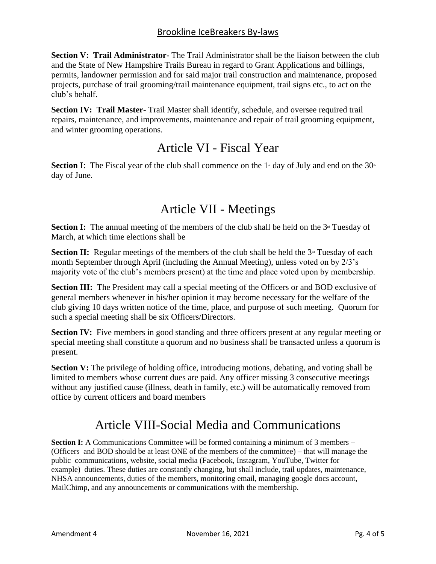**Section V: Trail Administrator-** The Trail Administrator shall be the liaison between the club and the State of New Hampshire Trails Bureau in regard to Grant Applications and billings, permits, landowner permission and for said major trail construction and maintenance, proposed projects, purchase of trail grooming/trail maintenance equipment, trail signs etc., to act on the club's behalf.

**Section IV: Trail Master-** Trail Master shall identify, schedule, and oversee required trail repairs, maintenance, and improvements, maintenance and repair of trail grooming equipment, and winter grooming operations.

# Article VI - Fiscal Year

**Section I**: The Fiscal year of the club shall commence on the  $1$ <sup>\*</sup> day of July and end on the  $30$ <sup>\*</sup> day of June.

# Article VII - Meetings

**Section I:** The annual meeting of the members of the club shall be held on the 3<sup>rd</sup> Tuesday of March, at which time elections shall be

**Section II:** Regular meetings of the members of the club shall be held the  $3<sup>d</sup>$  Tuesday of each month September through April (including the Annual Meeting), unless voted on by 2/3's majority vote of the club's members present) at the time and place voted upon by membership.

**Section III:** The President may call a special meeting of the Officers or and BOD exclusive of general members whenever in his/her opinion it may become necessary for the welfare of the club giving 10 days written notice of the time, place, and purpose of such meeting. Quorum for such a special meeting shall be six Officers/Directors.

**Section IV:** Five members in good standing and three officers present at any regular meeting or special meeting shall constitute a quorum and no business shall be transacted unless a quorum is present.

**Section V:** The privilege of holding office, introducing motions, debating, and voting shall be limited to members whose current dues are paid. Any officer missing 3 consecutive meetings without any justified cause (illness, death in family, etc.) will be automatically removed from office by current officers and board members

# Article VIII-Social Media and Communications

**Section I:** A Communications Committee will be formed containing a minimum of 3 members – (Officers and BOD should be at least ONE of the members of the committee) – that will manage the public communications, website, social media (Facebook, Instagram, YouTube, Twitter for example) duties. These duties are constantly changing, but shall include, trail updates, maintenance, NHSA announcements, duties of the members, monitoring email, managing google docs account, MailChimp, and any announcements or communications with the membership.